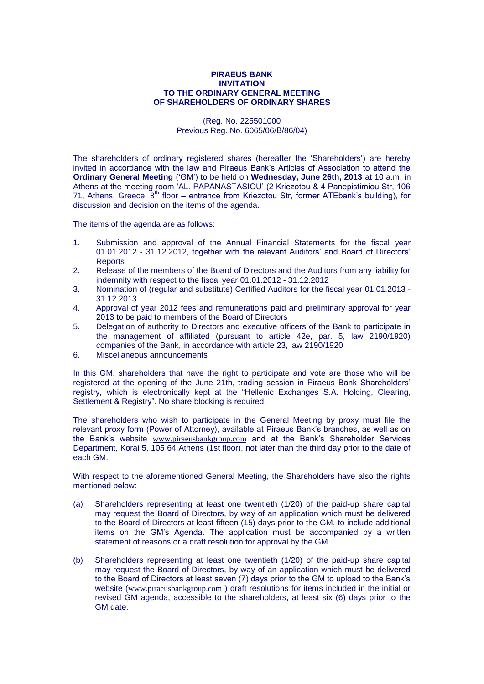## **PIRAEUS BANK INVITATION TO THE ORDINARY GENERAL MEETING OF SHAREHOLDERS OF ORDINARY SHARES**

(Reg. No. 225501000 Previous Reg. No. 6065/06/Β/86/04)

The shareholders of ordinary registered shares (hereafter the "Shareholders") are hereby invited in accordance with the law and Piraeus Bank"s Articles of Association to attend the **Ordinary General Meeting** ("GM") to be held on **Wednesday, June 26th, 2013** at 10 a.m. in Athens at the meeting room "AL. PAPANASTASIOU" (2 Kriezotou & 4 Panepistimiou Str, 106 71, Athens, Greece,  $8<sup>th</sup>$  floor – entrance from Kriezotou Str, former ATEbank's building), for discussion and decision on the items of the agenda.

The items of the agenda are as follows:

- 1. Submission and approval of the Annual Financial Statements for the fiscal year 01.01.2012 - 31.12.2012, together with the relevant Auditors' and Board of Directors' **Reports**
- 2. Release of the members of the Board of Directors and the Auditors from any liability for indemnity with respect to the fiscal year 01.01.2012 - 31.12.2012
- 3. Nomination of (regular and substitute) Certified Auditors for the fiscal year 01.01.2013 31.12.2013
- 4. Approval of year 2012 fees and remunerations paid and preliminary approval for year 2013 to be paid to members of the Board of Directors
- 5. Delegation of authority to Directors and executive officers of the Bank to participate in the management of affiliated (pursuant to article 42e, par. 5, law 2190/1920) companies of the Bank, in accordance with article 23, law 2190/1920
- 6. Miscellaneous announcements

In this GM, shareholders that have the right to participate and vote are those who will be registered at the opening of the June 21th, trading session in Piraeus Bank Shareholders" registry, which is electronically kept at the "Hellenic Exchanges S.A. Holding, Clearing, Settlement & Registry". No share blocking is required.

The shareholders who wish to participate in the General Meeting by proxy must file the relevant proxy form (Power of Attorney), available at Piraeus Bank"s branches, as well as on the Bank"s website [www.piraeusbankgroup.com](http://www.piraeusbankgroup.gr/) and at the Bank"s Shareholder Services Department, Korai 5, 105 64 Athens (1st floor), not later than the third day prior to the date of each GM.

With respect to the aforementioned General Meeting, the Shareholders have also the rights mentioned below:

- (a) Shareholders representing at least one twentieth (1/20) of the paid-up share capital may request the Board of Directors, by way of an application which must be delivered to the Board of Directors at least fifteen (15) days prior to the GM, to include additional items on the GM"s Agenda. The application must be accompanied by a written statement of reasons or a draft resolution for approval by the GM.
- (b) Shareholders representing at least one twentieth (1/20) of the paid-up share capital may request the Board of Directors, by way of an application which must be delivered to the Board of Directors at least seven (7) days prior to the GM to upload to the Bank"s website ([www.piraeusbankgroup.com](http://www.piraeusbankgroup.com/)) draft resolutions for items included in the initial or revised GM agenda, accessible to the shareholders, at least six (6) days prior to the GM date.